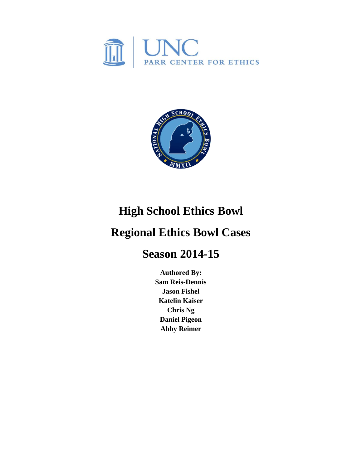



# **High School Ethics Bowl**

# **Regional Ethics Bowl Cases**

# **Season 2014-15**

**Authored By: Sam Reis-Dennis Jason Fishel Katelin Kaiser Chris Ng Daniel Pigeon Abby Reimer**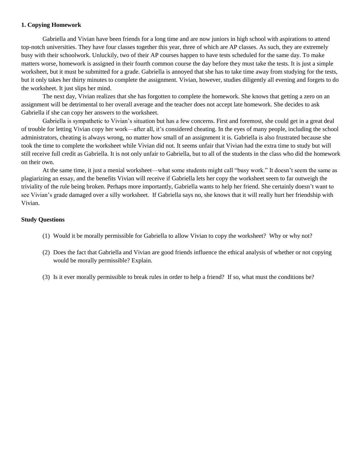#### **1. Copying Homework**

Gabriella and Vivian have been friends for a long time and are now juniors in high school with aspirations to attend top-notch universities. They have four classes together this year, three of which are AP classes. As such, they are extremely busy with their schoolwork. Unluckily, two of their AP courses happen to have tests scheduled for the same day. To make matters worse, homework is assigned in their fourth common course the day before they must take the tests. It is just a simple worksheet, but it must be submitted for a grade. Gabriella is annoyed that she has to take time away from studying for the tests, but it only takes her thirty minutes to complete the assignment. Vivian, however, studies diligently all evening and forgets to do the worksheet. It just slips her mind.

The next day, Vivian realizes that she has forgotten to complete the homework. She knows that getting a zero on an assignment will be detrimental to her overall average and the teacher does not accept late homework. She decides to ask Gabriella if she can copy her answers to the worksheet.

Gabriella is sympathetic to Vivian's situation but has a few concerns. First and foremost, she could get in a great deal of trouble for letting Vivian copy her work—after all, it's considered cheating. In the eyes of many people, including the school administrators, cheating is always wrong, no matter how small of an assignment it is. Gabriella is also frustrated because she took the time to complete the worksheet while Vivian did not. It seems unfair that Vivian had the extra time to study but will still receive full credit as Gabriella. It is not only unfair to Gabriella, but to all of the students in the class who did the homework on their own.

At the same time, it just a menial worksheet—what some students might call "busy work." It doesn't seem the same as plagiarizing an essay, and the benefits Vivian will receive if Gabriella lets her copy the worksheet seem to far outweigh the triviality of the rule being broken. Perhaps more importantly, Gabriella wants to help her friend. She certainly doesn't want to see Vivian's grade damaged over a silly worksheet. If Gabriella says no, she knows that it will really hurt her friendship with Vivian.

- (1) Would it be morally permissible for Gabriella to allow Vivian to copy the worksheet? Why or why not?
- (2) Does the fact that Gabriella and Vivian are good friends influence the ethical analysis of whether or not copying would be morally permissible? Explain.
- (3) Is it ever morally permissible to break rules in order to help a friend? If so, what must the conditions be?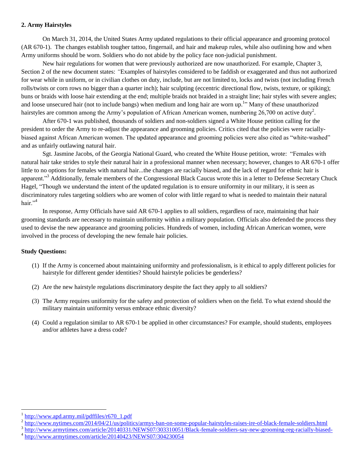# **2. Army Hairstyles**

On March 31, 2014, the United States Army updated regulations to their official appearance and grooming protocol (AR 670-1). The changes establish tougher tattoo, fingernail, and hair and makeup rules, while also outlining how and when Army uniforms should be worn. Soldiers who do not abide by the policy face non-judicial punishment.

New hair regulations for women that were previously authorized are now unauthorized. For example, Chapter 3, Section 2 of the new document states: *"*Examples of hairstyles considered to be faddish or exaggerated and thus not authorized for wear while in uniform, or in civilian clothes on duty, include, but are not limited to, locks and twists (not including French rolls/twists or corn rows no bigger than a quarter inch); hair sculpting (eccentric directional flow, twists, texture, or spiking); buns or braids with loose hair extending at the end; multiple braids not braided in a straight line; hair styles with severe angles; and loose unsecured hair (not to include bangs) when medium and long hair are worn up.<sup>1</sup> Many of these unauthorized hairstyles are common among the Army's population of African American women, numbering 26,700 on active duty<sup>2</sup>.

After 670-1 was published, thousands of soldiers and non-soldiers signed a White House petition calling for the president to order the Army to re-adjust the appearance and grooming policies. Critics cited that the policies were raciallybiased against African American women. The updated appearance and grooming policies were also cited as "white-washed" and as unfairly outlawing natural hair.

Sgt. Jasmine Jacobs, of the Georgia National Guard, who created the White House petition, wrote: "Females with natural hair take strides to style their natural hair in a professional manner when necessary; however, changes to AR 670-1 offer little to no options for females with natural hair...the changes are racially biased, and the lack of regard for ethnic hair is apparent."<sup>3</sup> Additionally, female members of the Congressional Black Caucus wrote this in a letter to Defense Secretary Chuck Hagel, "Though we understand the intent of the updated regulation is to ensure uniformity in our military, it is seen as discriminatory rules targeting soldiers who are women of color with little regard to what is needed to maintain their natural hair $^{,4}$ 

In response, Army Officials have said AR 670-1 applies to all soldiers, regardless of race, maintaining that hair grooming standards are necessary to maintain uniformity within a military population. Officials also defended the process they used to devise the new appearance and grooming policies. Hundreds of women, including African American women, were involved in the process of developing the new female hair policies.

# **Study Questions:**

- (1) If the Army is concerned about maintaining uniformity and professionalism, is it ethical to apply different policies for hairstyle for different gender identities? Should hairstyle policies be genderless?
- (2) Are the new hairstyle regulations discriminatory despite the fact they apply to all soldiers?
- (3) The Army requires uniformity for the safety and protection of soldiers when on the field. To what extend should the military maintain uniformity versus embrace ethnic diversity?
- (4) Could a regulation similar to AR 670-1 be applied in other circumstances? For example, should students, employees and/or athletes have a dress code?

<sup>1</sup> [http://www.apd.army.mil/pdffiles/r670\\_1.pdf](http://www.apd.army.mil/pdffiles/r670_1.pdf)

 $^2$  <http://www.nytimes.com/2014/04/21/us/politics/armys-ban-on-some-popular-hairstyles-raises-ire-of-black-female-soldiers.html>

<sup>&</sup>lt;sup>3</sup> <http://www.armytimes.com/article/20140331/NEWS07/303310051/Black-female-soldiers-say-new-grooming-reg-racially-biased->

<sup>&</sup>lt;sup>4</sup> <http://www.armytimes.com/article/20140423/NEWS07/304230054>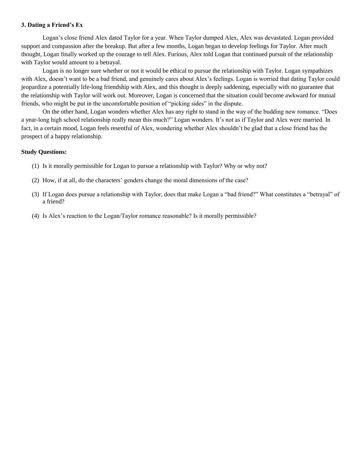#### **3. Dating a Friend's Ex**

Logan's close friend Alex dated Taylor for a year. When Taylor dumped Alex, Alex was devastated. Logan provided support and compassion after the breakup. But after a few months, Logan began to develop feelings for Taylor. After much thought, Logan finally worked up the courage to tell Alex. Furious, Alex told Logan that continued pursuit of the relationship with Taylor would amount to a betrayal.

Logan is no longer sure whether or not it would be ethical to pursue the relationship with Taylor. Logan sympathizes with Alex, doesn't want to be a bad friend, and genuinely cares about Alex's feelings. Logan is worried that dating Taylor could jeopardize a potentially life-long friendship with Alex, and this thought is deeply saddening, especially with no guarantee that the relationship with Taylor will work out. Moreover, Logan is concerned that the situation could become awkward for mutual friends, who might be put in the uncomfortable position of "picking sides" in the dispute.

On the other hand, Logan wonders whether Alex has any right to stand in the way of the budding new romance. "Does a year-long high school relationship really mean this much?" Logan wonders. It's not as if Taylor and Alex were married. In fact, in a certain mood, Logan feels resentful of Alex, wondering whether Alex shouldn't be glad that a close friend has the prospect of a happy relationship.

- (1) Is it morally permissible for Logan to pursue a relationship with Taylor? Why or why not?
- (2) How, if at all, do the characters' genders change the moral dimensions of the case?
- (3) If Logan does pursue a relationship with Taylor, does that make Logan a "bad friend?" What constitutes a "betrayal" of a friend?
- (4) Is Alex's reaction to the Logan/Taylor romance reasonable? Is it morally permissible?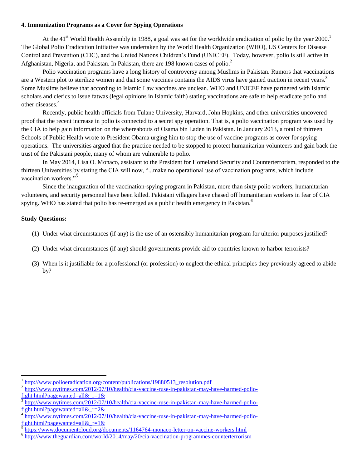#### **4. Immunization Programs as a Cover for Spying Operations**

At the  $41<sup>st</sup>$  World Health Assembly in 1988, a goal was set for the worldwide eradication of polio by the year 2000.<sup>1</sup> The Global Polio Eradication Initiative was undertaken by the World Health Organization (WHO), US Centers for Disease Control and Prevention (CDC), and the United Nations Children's Fund (UNICEF). Today, however, polio is still active in Afghanistan, Nigeria, and Pakistan. In Pakistan, there are 198 known cases of polio.<sup>2</sup>

Polio vaccination programs have a long history of controversy among Muslims in Pakistan. Rumors that vaccinations are a Western plot to sterilize women and that some vaccines contains the AIDS virus have gained traction in recent years.<sup>3</sup> Some Muslims believe that according to Islamic Law vaccines are unclean. WHO and UNICEF have partnered with Islamic scholars and clerics to issue fatwas (legal opinions in Islamic faith) stating vaccinations are safe to help eradicate polio and other diseases. 4

Recently, public health officials from Tulane University, Harvard, John Hopkins, and other universities uncovered proof that the recent increase in polio is connected to a secret spy operation. That is, a polio vaccination program was used by the CIA to help gain information on the whereabouts of Osama bin Laden in Pakistan. In January 2013, a total of thirteen Schools of Public Health wrote to President Obama urging him to stop the use of vaccine programs as cover for spying operations. The universities argued that the practice needed to be stopped to protect humanitarian volunteers and gain back the trust of the Pakistani people, many of whom are vulnerable to polio.

In May 2014, Lisa O. Monaco, assistant to the President for Homeland Security and Counterterrorism, responded to the thirteen Universities by stating the CIA will now, "...make no operational use of vaccination programs, which include vaccination workers."<sup>5</sup>

Since the inauguration of the vaccination-spying program in Pakistan, more than sixty polio workers, humanitarian volunteers, and security personnel have been killed. Pakistani villagers have chased off humanitarian workers in fear of CIA spying. WHO has stated that polio has re-emerged as a public health emergency in Pakistan.<sup>6</sup>

# **Study Questions:**

- (1) Under what circumstances (if any) is the use of an ostensibly humanitarian program for ulterior purposes justified?
- (2) Under what circumstances (if any) should governments provide aid to countries known to harbor terrorists?
- (3) When is it justifiable for a professional (or profession) to neglect the ethical principles they previously agreed to abide by?

<sup>&</sup>lt;sup>1</sup> [http://www.polioeradication.org/content/publications/19880513\\_resolution.pdf](http://www.polioeradication.org/content/publications/19880513_resolution.pdf)

<sup>&</sup>lt;sup>2</sup> [http://www.nytimes.com/2012/07/10/health/cia-vaccine-ruse-in-pakistan-may-have-harmed-polio](http://www.nytimes.com/2012/07/10/health/cia-vaccine-ruse-in-pakistan-may-have-harmed-polio-fight.html?pagewanted=all&_r=1&)fight.html?pagewanted=all& $r=1$ &

<sup>&</sup>lt;sup>3</sup> [http://www.nytimes.com/2012/07/10/health/cia-vaccine-ruse-in-pakistan-may-have-harmed-polio](http://www.nytimes.com/2012/07/10/health/cia-vaccine-ruse-in-pakistan-may-have-harmed-polio-fight.html?pagewanted=all&_r=2&)[fight.html?pagewanted=all&\\_r=2&](http://www.nytimes.com/2012/07/10/health/cia-vaccine-ruse-in-pakistan-may-have-harmed-polio-fight.html?pagewanted=all&_r=2&)

<sup>4</sup> [http://www.nytimes.com/2012/07/10/health/cia-vaccine-ruse-in-pakistan-may-have-harmed-polio](http://www.nytimes.com/2012/07/10/health/cia-vaccine-ruse-in-pakistan-may-have-harmed-polio-fight.html?pagewanted=all&_r=1&)fight.html?pagewanted=all& $r=1$ &

<sup>5</sup> <https://www.documentcloud.org/documents/1164764-monaco-letter-on-vaccine-workers.html>

<sup>&</sup>lt;sup>6</sup> <http://www.theguardian.com/world/2014/may/20/cia-vaccination-programmes-counterterrorism>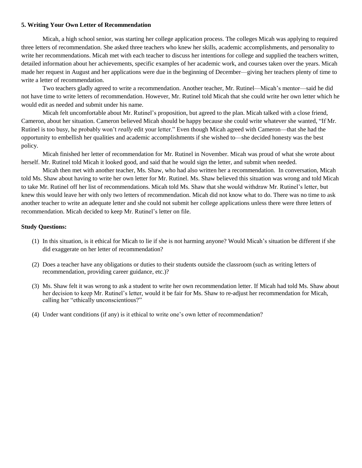# **5. Writing Your Own Letter of Recommendation**

Micah, a high school senior, was starting her college application process. The colleges Micah was applying to required three letters of recommendation. She asked three teachers who knew her skills, academic accomplishments, and personality to write her recommendations. Micah met with each teacher to discuss her intentions for college and supplied the teachers written, detailed information about her achievements, specific examples of her academic work, and courses taken over the years. Micah made her request in August and her applications were due in the beginning of December—giving her teachers plenty of time to write a letter of recommendation.

Two teachers gladly agreed to write a recommendation. Another teacher, Mr. Rutinel—Micah's mentor—said he did not have time to write letters of recommendation. However, Mr. Rutinel told Micah that she could write her own letter which he would edit as needed and submit under his name.

Micah felt uncomfortable about Mr. Rutinel's proposition, but agreed to the plan. Micah talked with a close friend, Cameron, about her situation. Cameron believed Micah should be happy because she could write whatever she wanted, "If Mr. Rutinel is too busy, he probably won't *really* edit your letter." Even though Micah agreed with Cameron—that she had the opportunity to embellish her qualities and academic accomplishments if she wished to—she decided honesty was the best policy.

Micah finished her letter of recommendation for Mr. Rutinel in November. Micah was proud of what she wrote about herself. Mr. Rutinel told Micah it looked good, and said that he would sign the letter, and submit when needed.

Micah then met with another teacher, Ms. Shaw, who had also written her a recommendation. In conversation, Micah told Ms. Shaw about having to write her own letter for Mr. Rutinel. Ms. Shaw believed this situation was wrong and told Micah to take Mr. Rutinel off her list of recommendations. Micah told Ms. Shaw that she would withdraw Mr. Rutinel's letter, but knew this would leave her with only two letters of recommendation. Micah did not know what to do. There was no time to ask another teacher to write an adequate letter and she could not submit her college applications unless there were three letters of recommendation. Micah decided to keep Mr. Rutinel's letter on file.

- (1) In this situation, is it ethical for Micah to lie if she is not harming anyone? Would Micah's situation be different if she did exaggerate on her letter of recommendation?
- (2) Does a teacher have any obligations or duties to their students outside the classroom (such as writing letters of recommendation, providing career guidance, etc.)?
- (3) Ms. Shaw felt it was wrong to ask a student to write her own recommendation letter. If Micah had told Ms. Shaw about her decision to keep Mr. Rutinel's letter, would it be fair for Ms. Shaw to re-adjust her recommendation for Micah, calling her "ethically unconscientious?"
- (4) Under want conditions (if any) is it ethical to write one's own letter of recommendation?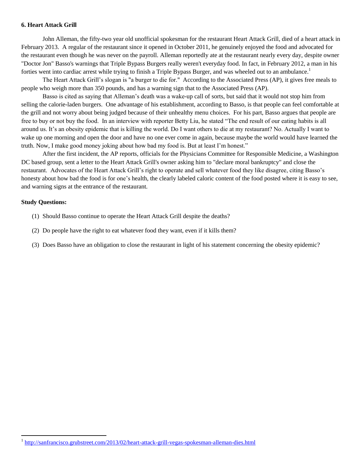#### **6. Heart Attack Grill**

John Alleman, the fifty-two year old unofficial spokesman for the restaurant Heart Attack Grill, died of a heart attack in February 2013. A regular of the restaurant since it opened in October 2011, he genuinely enjoyed the food and advocated for the restaurant even though he was never on the payroll. Alleman reportedly ate at the restaurant nearly every day, despite owner "Doctor Jon" Basso's warnings that Triple Bypass Burgers really weren't everyday food. In fact, in February 2012, a man in his forties went into cardiac arrest while trying to finish a Triple Bypass Burger, and was wheeled out to an ambulance.<sup>1</sup>

The Heart Attack Grill's slogan is "a burger to die for." According to the Associated Press (AP), it gives free meals to people who weigh more than 350 pounds, and has a warning sign that to the Associated Press (AP).

Basso is cited as saying that Alleman's death was a wake-up call of sorts, but said that it would not stop him from selling the calorie-laden burgers. One advantage of his establishment, according to Basso, is that people can feel comfortable at the grill and not worry about being judged because of their unhealthy menu choices. For his part, Basso argues that people are free to buy or not buy the food. In an interview with reporter Betty Liu, he stated "The end result of our eating habits is all around us. It's an obesity epidemic that is killing the world. Do I want others to die at my restaurant? No. Actually I want to wake up one morning and open the door and have no one ever come in again, because maybe the world would have learned the truth. Now, I make good money joking about how bad my food is. But at least I'm honest."

After the first incident, the AP reports, officials for the Physicians Committee for Responsible Medicine, a Washington DC based group, sent a letter to the Heart Attack Grill's owner asking him to "declare moral bankruptcy" and close the restaurant. Advocates of the Heart Attack Grill's right to operate and sell whatever food they like disagree, citing Basso's honesty about how bad the food is for one's health, the clearly labeled caloric content of the food posted where it is easy to see, and warning signs at the entrance of the restaurant.

#### **Study Questions:**

- (1) Should Basso continue to operate the Heart Attack Grill despite the deaths?
- (2) Do people have the right to eat whatever food they want, even if it kills them?
- (3) Does Basso have an obligation to close the restaurant in light of his statement concerning the obesity epidemic?

<sup>&</sup>lt;sup>1</sup> <http://sanfrancisco.grubstreet.com/2013/02/heart-attack-grill-vegas-spokesman-alleman-dies.html>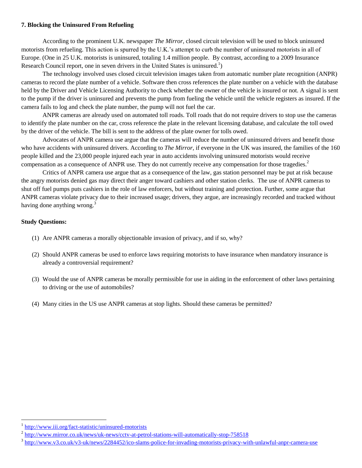# **7. Blocking the Uninsured From Refueling**

According to the prominent U.K. newspaper *The Mirror,* closed circuit television will be used to block uninsured motorists from refueling. This action is spurred by the U.K.'s attempt to curb the number of uninsured motorists in all of Europe. (One in 25 U.K. motorists is uninsured, totaling 1.4 million people. By contrast, according to a 2009 Insurance Research Council report, one in seven drivers in the United States is uninsured.<sup>1</sup>)

The technology involved uses closed circuit television images taken from automatic number plate recognition (ANPR) cameras to record the plate number of a vehicle. Software then cross references the plate number on a vehicle with the database held by the Driver and Vehicle Licensing Authority to check whether the owner of the vehicle is insured or not. A signal is sent to the pump if the driver is uninsured and prevents the pump from fueling the vehicle until the vehicle registers as insured. If the camera fails to log and check the plate number, the pump will not fuel the car.

ANPR cameras are already used on automated toll roads. Toll roads that do not require drivers to stop use the cameras to identify the plate number on the car, cross reference the plate in the relevant licensing database, and calculate the toll owed by the driver of the vehicle. The bill is sent to the address of the plate owner for tolls owed.

Advocates of ANPR camera use argue that the cameras will reduce the number of uninsured drivers and benefit those who have accidents with uninsured drivers. According to *The Mirror,* if everyone in the UK was insured, the families of the 160 people killed and the 23,000 people injured each year in auto accidents involving uninsured motorists would receive compensation as a consequence of ANPR use. They do not currently receive any compensation for those tragedies.<sup>2</sup>

Critics of ANPR camera use argue that as a consequence of the law, gas station personnel may be put at risk because the angry motorists denied gas may direct their anger toward cashiers and other station clerks. The use of ANPR cameras to shut off fuel pumps puts cashiers in the role of law enforcers, but without training and protection. Further, some argue that ANPR cameras violate privacy due to their increased usage; drivers, they argue, are increasingly recorded and tracked without having done anything wrong.<sup>3</sup>

# **Study Questions:**

- (1) Are ANPR cameras a morally objectionable invasion of privacy, and if so, why?
- (2) Should ANPR cameras be used to enforce laws requiring motorists to have insurance when mandatory insurance is already a controversial requirement?
- (3) Would the use of ANPR cameras be morally permissible for use in aiding in the enforcement of other laws pertaining to driving or the use of automobiles?
- (4) Many cities in the US use ANPR cameras at stop lights. Should these cameras be permitted?

<sup>1</sup> <http://www.iii.org/fact-statistic/uninsured-motorists>

<sup>&</sup>lt;sup>2</sup> <http://www.mirror.co.uk/news/uk-news/cctv-at-petrol-stations-will-automatically-stop-758518>

<sup>&</sup>lt;sup>3</sup> <http://www.v3.co.uk/v3-uk/news/2284452/ico-slams-police-for-invading-motorists-privacy-with-unlawful-anpr-camera-use>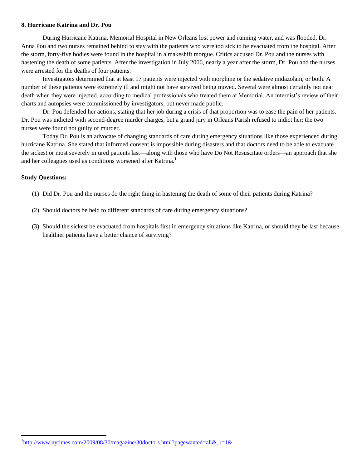#### **8. Hurricane Katrina and Dr. Pou**

During Hurricane Katrina, Memorial Hospital in New Orleans lost power and running water, and was flooded. Dr. Anna Pou and two nurses remained behind to stay with the patients who were too sick to be evacuated from the hospital. After the storm, forty-five bodies were found in the hospital in a makeshift morgue. Critics accused Dr. Pou and the nurses with hastening the death of some patients. After the investigation in July 2006, nearly a year after the storm, Dr. Pou and the nurses were arrested for the deaths of four patients.

Investigators determined that at least 17 patients were injected with morphine or the sedative midazolam, or both. A number of these patients were extremely ill and might not have survived being moved. Several were almost certainly not near death when they were injected, according to medical professionals who treated them at Memorial. An internist's review of their charts and autopsies were commissioned by investigators, but never made public.

Dr. Pou defended her actions, stating that her job during a crisis of that proportion was to ease the pain of her patients. Dr. Pou was indicted with second-degree murder charges, but a grand jury in Orleans Parish refused to indict her; the two nurses were found not guilty of murder.

Today Dr. Pou is an advocate of changing standards of care during emergency situations like those experienced during hurricane Katrina. She stated that informed consent is impossible during disasters and that doctors need to be able to evacuate the sickest or most severely injured patients last—along with those who have Do Not Resuscitate orders—an approach that she and her colleagues used as conditions worsened after Katrina.<sup>1</sup>

# **Study Questions:**

- (1) Did Dr. Pou and the nurses do the right thing in hastening the death of some of their patients during Katrina?
- (2) Should doctors be held to different standards of care during emergency situations?
- (3) Should the sickest be evacuated from hospitals first in emergency situations like Katrina, or should they be last because healthier patients have a better chance of surviving?

<sup>&</sup>lt;sup>1</sup>[http://www.nytimes.com/2009/08/30/magazine/30doctors.html?pagewanted=all&\\_r=1&](http://www.nytimes.com/2009/08/30/magazine/30doctors.html?pagewanted=all&_r=1&)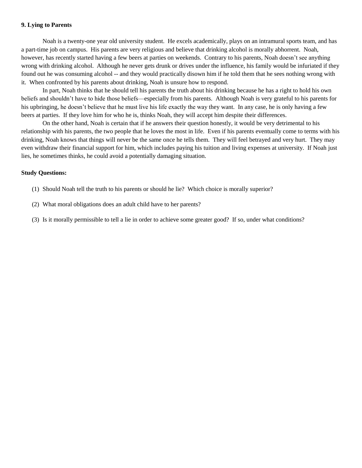#### **9. Lying to Parents**

Noah is a twenty-one year old university student. He excels academically, plays on an intramural sports team, and has a part-time job on campus. His parents are very religious and believe that drinking alcohol is morally abhorrent. Noah, however, has recently started having a few beers at parties on weekends. Contrary to his parents, Noah doesn't see anything wrong with drinking alcohol. Although he never gets drunk or drives under the influence, his family would be infuriated if they found out he was consuming alcohol -- and they would practically disown him if he told them that he sees nothing wrong with it. When confronted by his parents about drinking, Noah is unsure how to respond.

In part, Noah thinks that he should tell his parents the truth about his drinking because he has a right to hold his own beliefs and shouldn't have to hide those beliefs—especially from his parents. Although Noah is very grateful to his parents for his upbringing, he doesn't believe that he must live his life exactly the way they want. In any case, he is only having a few beers at parties. If they love him for who he is, thinks Noah, they will accept him despite their differences.

On the other hand, Noah is certain that if he answers their question honestly, it would be very detrimental to his relationship with his parents, the two people that he loves the most in life. Even if his parents eventually come to terms with his drinking, Noah knows that things will never be the same once he tells them. They will feel betrayed and very hurt. They may even withdraw their financial support for him, which includes paying his tuition and living expenses at university. If Noah just lies, he sometimes thinks, he could avoid a potentially damaging situation.

- (1) Should Noah tell the truth to his parents or should he lie? Which choice is morally superior?
- (2) What moral obligations does an adult child have to her parents?
- (3) Is it morally permissible to tell a lie in order to achieve some greater good? If so, under what conditions?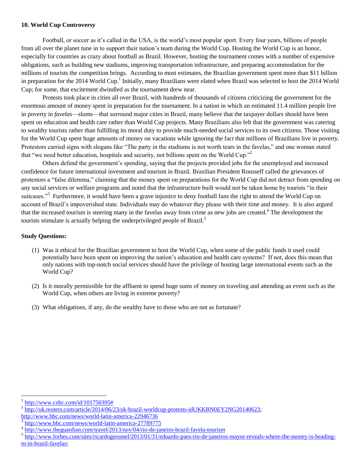#### **10. World Cup Controversy**

Football, or soccer as it's called in the USA, is the world's most popular sport. Every four years, billions of people from all over the planet tune in to support their nation's team during the World Cup. Hosting the World Cup is an honor, especially for countries as crazy about football as Brazil. However, hosting the tournament comes with a number of expensive obligations, such as building new stadiums, improving transportation infrastructure, and preparing accommodation for the millions of tourists the competition brings. According to most estimates, the Brazilian government spent more than \$11 billion in preparation for the 2014 World Cup.<sup>1</sup> Initially, many Brazilians were elated when Brazil was selected to host the 2014 World Cup; for some, that excitement dwindled as the tournament drew near.

Protests took place in cities all over Brazil, with hundreds of thousands of citizens criticizing the government for the enormous amount of money spent in preparation for the tournament. In a nation in which an estimated 11.4 million people live in poverty in *favelas*—slums—that surround major cities in Brazil, many believe that the taxpayer dollars should have been spent on education and health care rather than World Cup projects. Many Brazilians also felt that the government was catering to wealthy tourists rather than fulfilling its moral duty to provide much-needed social services to its own citizens. Those visiting for the World Cup spent huge amounts of money on vacations while ignoring the fact that millions of Brazilians live in poverty. Protestors carried signs with slogans like "The party in the stadiums is not worth tears in the favelas," and one woman stated that "we need better education, hospitals and security, not billions spent on the World Cup."<sup>2</sup>

Others defend the government's spending, saying that the projects provided jobs for the unemployed and increased confidence for future international investment and tourism in Brazil. Brazilian President Rousseff called the grievances of protestors a "false dilemma," claiming that the money spent on preparations for the World Cup did not detract from spending on any social services or welfare programs and noted that the infrastructure built would not be taken home by tourists "in their suitcases."<sup>3</sup> Furthermore, it would have been a grave injustice to deny football fans the right to attend the World Cup on account of Brazil's impoverished state. Individuals may do whatever they please with their time and money. It is also argued that the increased tourism is steering many in the favelas away from crime as new jobs are created.<sup>4</sup> The development the tourists stimulate is actually helping the underprivileged people of Brazil.<sup>5</sup>

# **Study Questions:**

- (1) Was it ethical for the Brazilian government to host the World Cup, when some of the public funds it used could potentially have been spent on improving the nation's education and health care systems? If not, does this mean that only nations with top-notch social services should have the privilege of hosting large international events such as the World Cup?
- (2) Is it morally permissible for the affluent to spend huge sums of money on traveling and attending an event such as the World Cup, when others are living in extreme poverty?
- (3) What obligations, if any, do the wealthy have to those who are not as fortunate?

 $\frac{1 \text{ http://www.cnbc.com/id/101750395#}}{$  $\frac{1 \text{ http://www.cnbc.com/id/101750395#}}{$  $\frac{1 \text{ http://www.cnbc.com/id/101750395#}}{$ 

<sup>2</sup> [http://uk.reuters.com/article/2014/06/23/uk-brazil-worldcup-protests-idUKKBN0EY2NG20140623;](http://uk.reuters.com/article/2014/06/23/uk-brazil-worldcup-protests-idUKKBN0EY2NG20140623) <http://www.bbc.com/news/world-latin-america-22946736>

<sup>3</sup> <http://www.bbc.com/news/world-latin-america-27789775>

<sup>&</sup>lt;sup>4</sup> <http://www.theguardian.com/travel/2013/nov/04/rio-de-janeiro-brazil-favela-tourism>

<sup>&</sup>lt;sup>5</sup> [http://www.forbes.com/sites/ricardogeromel/2013/01/31/eduardo-paes-rio-de-janeiros-mayor-reveals-where-the-money-is-heading](http://www.forbes.com/sites/ricardogeromel/2013/01/31/eduardo-paes-rio-de-janeiros-mayor-reveals-where-the-money-is-heading-to-in-brazil-favelas/)[to-in-brazil-favelas/](http://www.forbes.com/sites/ricardogeromel/2013/01/31/eduardo-paes-rio-de-janeiros-mayor-reveals-where-the-money-is-heading-to-in-brazil-favelas/)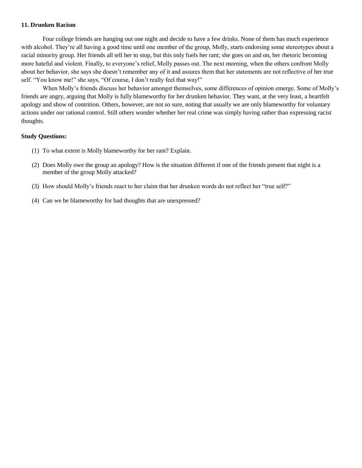#### **11. Drunken Racism**

Four college friends are hanging out one night and decide to have a few drinks. None of them has much experience with alcohol. They're all having a good time until one member of the group, Molly, starts endorsing some stereotypes about a racial minority group. Her friends all tell her to stop, but this only fuels her rant; she goes on and on, her rhetoric becoming more hateful and violent. Finally, to everyone's relief, Molly passes out. The next morning, when the others confront Molly about her behavior, she says she doesn't remember any of it and assures them that her statements are not reflective of her true self. "You know me!" she says, "Of course, I don't really feel that way!"

When Molly's friends discuss her behavior amongst themselves, some differences of opinion emerge. Some of Molly's friends are angry, arguing that Molly is fully blameworthy for her drunken behavior. They want, at the very least, a heartfelt apology and show of contrition. Others, however, are not so sure, noting that usually we are only blameworthy for voluntary actions under our rational control. Still others wonder whether her real crime was simply having rather than expressing racist thoughts.

- (1) To what extent is Molly blameworthy for her rant? Explain.
- (2) Does Molly owe the group an apology? How is the situation different if one of the friends present that night is a member of the group Molly attacked?
- (3) How should Molly's friends react to her claim that her drunken words do not reflect her "true self?"
- (4) Can we be blameworthy for bad thoughts that are unexpressed?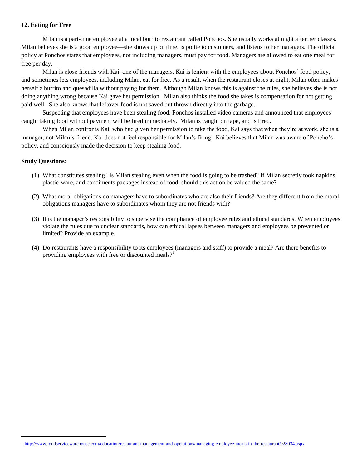# **12. Eating for Free**

Milan is a part-time employee at a local burrito restaurant called Ponchos. She usually works at night after her classes. Milan believes she is a good employee—she shows up on time, is polite to customers, and listens to her managers. The official policy at Ponchos states that employees, not including managers, must pay for food. Managers are allowed to eat one meal for free per day.

Milan is close friends with Kai, one of the managers. Kai is lenient with the employees about Ponchos' food policy, and sometimes lets employees, including Milan, eat for free. As a result, when the restaurant closes at night, Milan often makes herself a burrito and quesadilla without paying for them. Although Milan knows this is against the rules, she believes she is not doing anything wrong because Kai gave her permission. Milan also thinks the food she takes is compensation for not getting paid well. She also knows that leftover food is not saved but thrown directly into the garbage.

Suspecting that employees have been stealing food, Ponchos installed video cameras and announced that employees caught taking food without payment will be fired immediately. Milan is caught on tape, and is fired.

When Milan confronts Kai, who had given her permission to take the food, Kai says that when they're at work, she is a manager, not Milan's friend. Kai does not feel responsible for Milan's firing. Kai believes that Milan was aware of Poncho's policy, and consciously made the decision to keep stealing food.

# **Study Questions:**

- (1) What constitutes stealing? Is Milan stealing even when the food is going to be trashed? If Milan secretly took napkins, plastic-ware, and condiments packages instead of food, should this action be valued the same?
- (2) What moral obligations do managers have to subordinates who are also their friends? Are they different from the moral obligations managers have to subordinates whom they are not friends with?
- (3) It is the manager's responsibility to supervise the compliance of employee rules and ethical standards. When employees violate the rules due to unclear standards, how can ethical lapses between managers and employees be prevented or limited? Provide an example.
- (4) Do restaurants have a responsibility to its employees (managers and staff) to provide a meal? Are there benefits to providing employees with free or discounted meals?<sup>1</sup>

<sup>&</sup>lt;sup>1</sup> <http://www.foodservicewarehouse.com/education/restaurant-management-and-operations/managing-employee-meals-in-the-restaurant/c28034.aspx>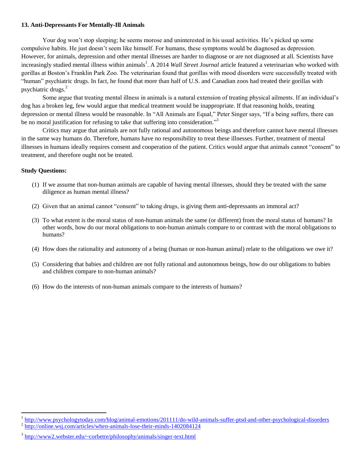# **13. Anti-Depressants For Mentally-Ill Animals**

Your dog won't stop sleeping; he seems morose and uninterested in his usual activities. He's picked up some compulsive habits. He just doesn't seem like himself. For humans, these symptoms would be diagnosed as depression. However, for animals, depression and other mental illnesses are harder to diagnose or are not diagnosed at all. Scientists have increasingly studied mental illness within animals<sup>1</sup>. A 2014 *Wall Street Journal* article featured a veterinarian who worked with gorillas at Boston's Franklin Park Zoo. The veterinarian found that gorillas with mood disorders were successfully treated with "human" psychiatric drugs. In fact, he found that more than half of U.S. and Canadian zoos had treated their gorillas with psychiatric drugs.<sup>2</sup>

Some argue that treating mental illness in animals is a natural extension of treating physical ailments. If an individual's dog has a broken leg, few would argue that medical treatment would be inappropriate. If that reasoning holds, treating depression or mental illness would be reasonable. In "All Animals are Equal," Peter Singer says, "If a being suffers, there can be no moral justification for refusing to take that suffering into consideration."<sup>3</sup>

Critics may argue that animals are not fully rational and autonomous beings and therefore cannot have mental illnesses in the same way humans do. Therefore, humans have no responsibility to treat these illnesses. Further, treatment of mental illnesses in humans ideally requires consent and cooperation of the patient. Critics would argue that animals cannot "consent" to treatment, and therefore ought not be treated.

# **Study Questions:**

- (1) If we assume that non-human animals are capable of having mental illnesses, should they be treated with the same diligence as human mental illness?
- (2) Given that an animal cannot "consent" to taking drugs, is giving them anti-depressants an immoral act?
- (3) To what extent is the moral status of non-human animals the same (or different) from the moral status of humans? In other words, how do our moral obligations to non-human animals compare to or contrast with the moral obligations to humans?
- (4) How does the rationality and autonomy of a being (human or non-human animal) relate to the obligations we owe it?
- (5) Considering that babies and children are not fully rational and autonomous beings, how do our obligations to babies and children compare to non-human animals?
- (6) How do the interests of non-human animals compare to the interests of humans?

<sup>1</sup> <http://www.psychologytoday.com/blog/animal-emotions/201111/do-wild-animals-suffer-ptsd-and-other-psychological-disorders> 2

<http://online.wsj.com/articles/when-animals-lose-their-minds-1402084124>

<sup>&</sup>lt;sup>3</sup> <http://www2.webster.edu/~corbetre/philosophy/animals/singer-text.html>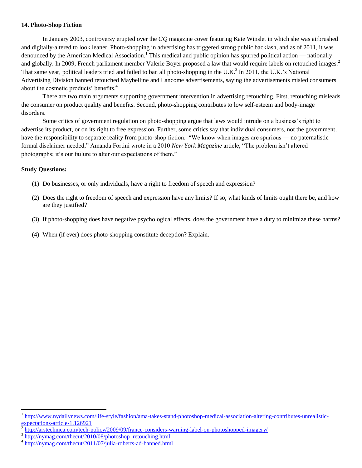# **14. Photo-Shop Fiction**

In January 2003, controversy erupted over the *GQ* magazine cover featuring Kate Winslet in which she was airbrushed and digitally-altered to look leaner. Photo-shopping in advertising has triggered strong public backlash, and as of 2011, it was denounced by the American Medical Association.<sup>1</sup> This medical and public opinion has spurred political action — nationally and globally. In 2009, French parliament member Valerie Boyer proposed a law that would require labels on retouched images. $2$ That same year, political leaders tried and failed to ban all photo-shopping in the U.K.<sup>3</sup> In 2011, the U.K.'s National Advertising Division banned retouched Maybelline and Lancome advertisements, saying the advertisements misled consumers about the cosmetic products' benefits.<sup>4</sup>

There are two main arguments supporting government intervention in advertising retouching. First, retouching misleads the consumer on product quality and benefits. Second, photo-shopping contributes to low self-esteem and body-image disorders.

Some critics of government regulation on photo-shopping argue that laws would intrude on a business's right to advertise its product, or on its right to free expression. Further, some critics say that individual consumers, not the government, have the responsibility to separate reality from photo-shop fiction. "We know when images are spurious — no paternalistic formal disclaimer needed," Amanda Fortini wrote in a 2010 *New York Magazine* article, "The problem isn't altered photographs; it's our failure to alter our expectations of them."

# **Study Questions:**

- (1) Do businesses, or only individuals, have a right to freedom of speech and expression?
- (2) Does the right to freedom of speech and expression have any limits? If so, what kinds of limits ought there be, and how are they justified?
- (3) If photo-shopping does have negative psychological effects, does the government have a duty to minimize these harms?
- (4) When (if ever) does photo-shopping constitute deception? Explain.

<sup>1</sup> [http://www.nydailynews.com/life-style/fashion/ama-takes-stand-photoshop-medical-association-altering-contributes-unrealistic](http://www.nydailynews.com/life-style/fashion/ama-takes-stand-photoshop-medical-association-altering-contributes-unrealistic-expectations-article-1.126921)[expectations-article-1.126921](http://www.nydailynews.com/life-style/fashion/ama-takes-stand-photoshop-medical-association-altering-contributes-unrealistic-expectations-article-1.126921)

<http://arstechnica.com/tech-policy/2009/09/france-considers-warning-label-on-photoshopped-imagery/>

<sup>&</sup>lt;sup>3</sup>[http://nymag.com/thecut/2010/08/photoshop\\_retouching.html](http://nymag.com/thecut/2010/08/photoshop_retouching.html)

<sup>&</sup>lt;sup>4</sup> <http://nymag.com/thecut/2011/07/julia-roberts-ad-banned.html>